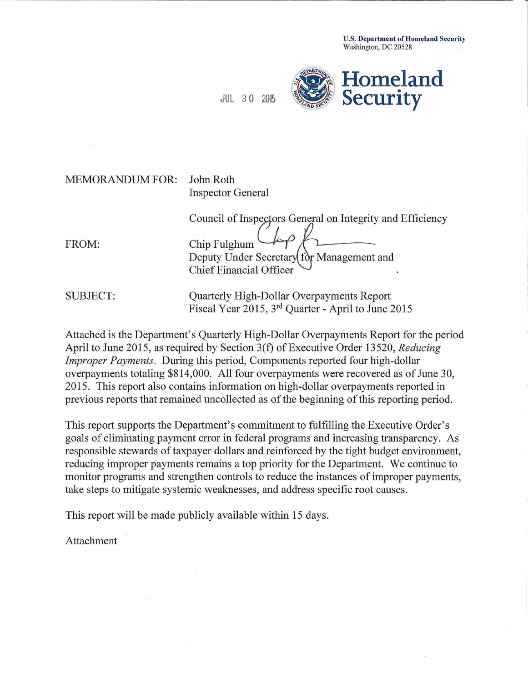U.S. Department of Homeland Security Washington, DC 20528

JUL 3 0 2015



MEMORANDUM FOR: John Roth

Inspector General

Council of Inspectors General on Integrity and Efficiency FROM: Chip Fulghum Deputy Under Secretary fo Chief Financial Officer

SUBJECT: Quarterly High-Dollar Overpayments Report Fiscal Year 2015, 3<sup>rd</sup> Quarter - April to June 2015

Attached is the Department's Quarterly High-Dollar Overpayments Report for the period April to June 2015, as required by Section 3(f) of Executive Order 13520, *Reducing Improper Payments.* During this period, Components reported four high-dollar overpayments totaling \$814,000. All four overpayments were recovered as of June 30, 2015. This report also contains information on high-dollar overpayments reported in previous reports that remained uncollected as of the beginning of this reporting period.

This report supports the Department's commitment to fulfilling the Executive Order's goals of eliminating payment error in federal programs and increasing transparency. As responsible stewards of taxpayer dollars and reinforced by the tight budget environment, reducing improper payments remains a top priority for the Department. We continue to monitor programs and strengthen controls to reduce the instances of improper payments, take steps to mitigate systemic weaknesses, and address specific root causes.

This report will be made publicly available within 15 days.

Attachment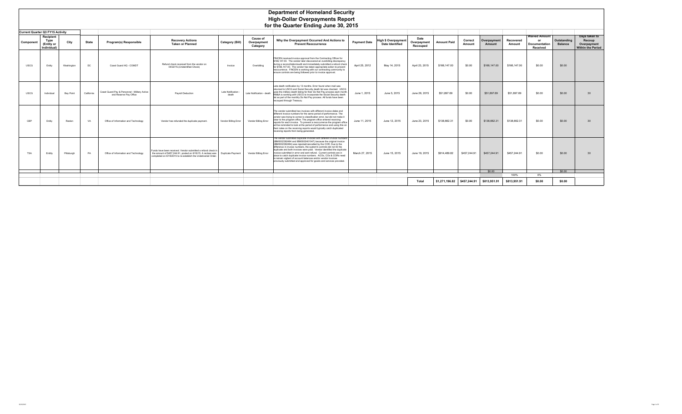|             |                                                       |                  |              |                                                                         |                                                                                                                                                                                             |                            |                                            | <b>Department of Homeland Security</b><br><b>High-Dollar Overpayments Report</b><br>for the Quarter Ending June 30, 2015                                                                                                                                                                                                                                                                                                                                                                                                                                                                                                                    |                     |                                                      |                                 |                    |                   |                       |                     |                                                         |                               |                                                                    |
|-------------|-------------------------------------------------------|------------------|--------------|-------------------------------------------------------------------------|---------------------------------------------------------------------------------------------------------------------------------------------------------------------------------------------|----------------------------|--------------------------------------------|---------------------------------------------------------------------------------------------------------------------------------------------------------------------------------------------------------------------------------------------------------------------------------------------------------------------------------------------------------------------------------------------------------------------------------------------------------------------------------------------------------------------------------------------------------------------------------------------------------------------------------------------|---------------------|------------------------------------------------------|---------------------------------|--------------------|-------------------|-----------------------|---------------------|---------------------------------------------------------|-------------------------------|--------------------------------------------------------------------|
|             | <b>Current Quarter Q3 FY15 Activity</b>               |                  |              |                                                                         |                                                                                                                                                                                             |                            |                                            |                                                                                                                                                                                                                                                                                                                                                                                                                                                                                                                                                                                                                                             |                     |                                                      |                                 |                    |                   |                       |                     |                                                         |                               |                                                                    |
| Component   | <b>Recipient</b><br>Type<br>(Entity or<br>Individual) | City             | <b>State</b> | Program(s) Responsible                                                  | <b>Recovery Actions</b><br><b>Taken or Planned</b>                                                                                                                                          | Category (Bill)            | <b>Cause of</b><br>Overpayment<br>Category | Why the Overpayment Occurred And Actions to<br><b>Prevent Reoccurrence</b>                                                                                                                                                                                                                                                                                                                                                                                                                                                                                                                                                                  | <b>Payment Date</b> | <b>High \$ Overpayment</b><br><b>Date Identified</b> | Date<br>Overpayment<br>Recouped | <b>Amount Paid</b> | Correct<br>Amount | Overpayment<br>Amount | Recovered<br>Amount | <b>Waived Amount</b><br>or<br>Documentation<br>Received | Outstanding<br><b>Balance</b> | Days taken to<br>Recoup<br>Overpayment<br><b>Within the Period</b> |
| <b>USCG</b> | Entity                                                | Washington       | DC           | Coast Guard HQ - COMDT                                                  | Refund check received from the vendor on<br>04/22/15.(Unidentified Check)                                                                                                                   | Invoice                    | Overbilling                                | FINCEN received invoice approval from the Contracting Officer for<br>\$166,147.00. The vendor later discovered an overbilling discrepancy<br>during a reconciliation/audit and immediately submitted a refund check<br>for \$166,147.00. The vendor has taken appropriate action to prevent<br>reoccurrence. FINCEN is working with our contracting community to<br>ensure controls are being followed prior to invoice approval.                                                                                                                                                                                                           | April 25, 2012      | May 14, 2015                                         | April 23, 2015                  | \$166,147.00       | \$0.00            | \$166,147.00          | \$166,147.00        | \$0.00                                                  | \$0.00                        |                                                                    |
| <b>USCG</b> | Individual                                            | <b>Bay Point</b> | California   | Coast Guard Pay & Personnel - Military Active<br>and Reserve Pay Office | Pavroll Deduction                                                                                                                                                                           | Late Notification<br>death | Late Notification - death                  | Late death notification by 13 months. Error found when mail was<br>returned to USCG and Social Security death list was checked. USCG<br>uses the military death listing for their Do Not Pay process each month<br>RM&A is working with USCG to incorporate the Social Security death<br>list as part of the monthly Do Not Pay process. All funds have been<br>recouped through Treasury.                                                                                                                                                                                                                                                  | June 1, 2015        | June 5, 2015                                         | June 26, 2015                   | \$51,897.69        | \$0.00            | \$51,897.69           | \$51,897.69         | \$0.00                                                  | \$0.00                        | 30                                                                 |
| CBP         | Entity                                                | Reston           | VA           | Office of Information and Technology                                    | Vendor has refunded the duplicate payment.                                                                                                                                                  | Vendor Billing Error       | Vendor Billing Error                       | The vendor submitted two invoices with different invoice dates and<br>different invoice numbers for the same period of performance. The<br>vendor was trying to correct a classification error, but did not make it<br>clear to the program office. The program office entered receiving<br>reports for each invoice. To prevent a reoccurrence the program office<br>will be reminded to look at the period of performance and using this on<br>their notes on the receiving reports would typically catch duplicated<br>receiving reports from being generated.                                                                           | June 11, 2015       | June 12, 2015                                        | June 23, 2015                   | \$138,662.31       | \$0.00            | \$138,662.31          | \$138,662.31        | \$0.00                                                  | \$0.00                        | 30                                                                 |
| <b>TSA</b>  | Entitty                                               | Pittsburgh       | PA           | Office of Information and Technology                                    | Funds have been received. Vendor submitted a refund check i<br>the amount of \$457,244.91, posted on 6/16/15. A reclass was<br>completed on 6/19/2015 to re-establish the Undelivered Order | <b>Duplicate Payment</b>   | Vendor Billing Error                       | The vendor submitted duplicate invoices with different invoice numbers<br>(IBM0002392494 and IBM0002401047) because the original invoice<br>(IBM0002392494) was rejected/cancelled by the COR. Due to the<br>difference in invoice numbers, the system's controls did not ID the<br>duplicate and both invoices were paid. Vendor identified the duplicate<br>invoice submitted in error and sent refund. Current controls are in<br>place to catch duplicate invoice numbers. ACOs, COs & CORs need<br>to remain vigilant of account balances and/or vendor invoices<br>previously submitted and approved for goods and services provided. | March 27, 2015      | June 15, 2015                                        | June 19, 2015                   | \$914,489.82       | \$457,244.91      | \$457,244.91          | \$457,244.91        | \$0.00                                                  | \$0.00                        | 30                                                                 |
|             |                                                       |                  |              |                                                                         |                                                                                                                                                                                             |                            |                                            |                                                                                                                                                                                                                                                                                                                                                                                                                                                                                                                                                                                                                                             |                     |                                                      |                                 |                    |                   | \$0.00                |                     |                                                         | \$0.00                        |                                                                    |
|             |                                                       |                  |              |                                                                         |                                                                                                                                                                                             |                            |                                            |                                                                                                                                                                                                                                                                                                                                                                                                                                                                                                                                                                                                                                             |                     |                                                      |                                 |                    |                   |                       | 100%                | 0%                                                      |                               |                                                                    |
|             |                                                       |                  |              |                                                                         |                                                                                                                                                                                             |                            |                                            |                                                                                                                                                                                                                                                                                                                                                                                                                                                                                                                                                                                                                                             |                     |                                                      | Total                           | \$1,271,196.82     | \$457,244.91      | \$813,951.91          | \$813,951.91        | \$0.00                                                  | \$0.00                        |                                                                    |

8/19/2015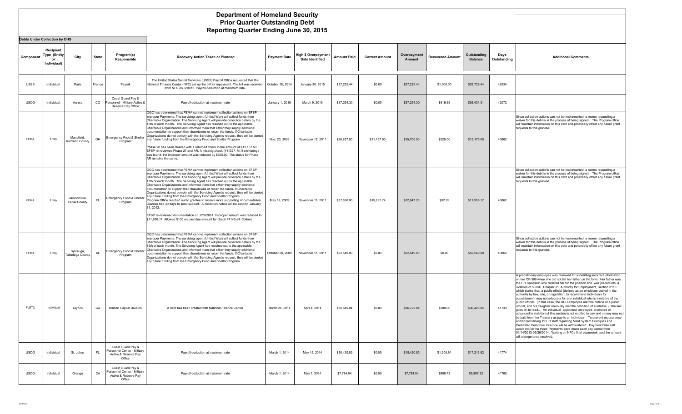## **Department of Homeland Security Prior Quarter Outstanding Debt Reporting Quarter Ending June 30, 2015**

|              | <b>Debts Under Collection by DHS</b>           |                                      |              |                                                                                    |                                                                                                                                                                                                                                                                                                                                                                                                                                                                                                                                                                                                                                                                                                                                                                                                                                                                                                                                                                                                      |                     |                                                      |                    |                       |                       |                         |                               |                     |                                                                                                                                                                                                                                                                                                                                                                                                                                                                                                                                                                                                                                                                                                                                                                                                                                                                                                                                                                                                                                                                                                                                                                                                                                                                                    |
|--------------|------------------------------------------------|--------------------------------------|--------------|------------------------------------------------------------------------------------|------------------------------------------------------------------------------------------------------------------------------------------------------------------------------------------------------------------------------------------------------------------------------------------------------------------------------------------------------------------------------------------------------------------------------------------------------------------------------------------------------------------------------------------------------------------------------------------------------------------------------------------------------------------------------------------------------------------------------------------------------------------------------------------------------------------------------------------------------------------------------------------------------------------------------------------------------------------------------------------------------|---------------------|------------------------------------------------------|--------------------|-----------------------|-----------------------|-------------------------|-------------------------------|---------------------|------------------------------------------------------------------------------------------------------------------------------------------------------------------------------------------------------------------------------------------------------------------------------------------------------------------------------------------------------------------------------------------------------------------------------------------------------------------------------------------------------------------------------------------------------------------------------------------------------------------------------------------------------------------------------------------------------------------------------------------------------------------------------------------------------------------------------------------------------------------------------------------------------------------------------------------------------------------------------------------------------------------------------------------------------------------------------------------------------------------------------------------------------------------------------------------------------------------------------------------------------------------------------------|
| Component    | Recipient<br>Type (Entity<br>or<br>Individual) | City                                 | <b>State</b> | Program(s)<br>Responsible                                                          | Recovery Action Taken or Planned                                                                                                                                                                                                                                                                                                                                                                                                                                                                                                                                                                                                                                                                                                                                                                                                                                                                                                                                                                     | <b>Payment Date</b> | <b>High \$ Overpayment</b><br><b>Date Identified</b> | <b>Amount Paid</b> | <b>Correct Amount</b> | Overpayment<br>Amount | <b>Recovered Amount</b> | Outstanding<br><b>Balance</b> | Days<br>Outstanding | <b>Additional Comments</b>                                                                                                                                                                                                                                                                                                                                                                                                                                                                                                                                                                                                                                                                                                                                                                                                                                                                                                                                                                                                                                                                                                                                                                                                                                                         |
| <b>USSS</b>  | Individual                                     | Paris                                | France       | Payroll                                                                            | The United States Secret Service's (USSS) Payroll Office requested that the<br>National Finance Center (NFC) set up the bill for repayment. The bill was received<br>from NFC on 3/10/15. Payroll deduction at maximum rate.                                                                                                                                                                                                                                                                                                                                                                                                                                                                                                                                                                                                                                                                                                                                                                         | October 18, 2014    | January 30, 2015                                     | \$27,229.44        | \$0.00                | \$27,229.44           | \$1,500.00              | \$25,729.44                   | 42034               |                                                                                                                                                                                                                                                                                                                                                                                                                                                                                                                                                                                                                                                                                                                                                                                                                                                                                                                                                                                                                                                                                                                                                                                                                                                                                    |
| <b>USCG</b>  | Individual                                     | Aurora                               | CO           | Coast Guard Pay &<br>Personnel - Military Active &<br>Reserve Pay Office           | Payroll deduction at maximum rate                                                                                                                                                                                                                                                                                                                                                                                                                                                                                                                                                                                                                                                                                                                                                                                                                                                                                                                                                                    | January 1, 2015     | March 9, 2015                                        | \$37,254.30        | \$0.00                | \$37,254.30           | \$819.99                | \$36,434.31                   | 42072               |                                                                                                                                                                                                                                                                                                                                                                                                                                                                                                                                                                                                                                                                                                                                                                                                                                                                                                                                                                                                                                                                                                                                                                                                                                                                                    |
| FEMA         | Entity                                         | Mansfield.<br><b>Richland County</b> | OH           | Emergency Food & Shelter<br>Program                                                | OGC has determined that FEMA cannot implement collection actions on EFSP<br>improper Payments. The servicing agent (United Way) will collect funds from<br>Charitable Organization. The Servicing Agent will provide collection details by the<br>15th of each month. The Servicing Agent has reached out to the applicable<br>Charitable Organizations and informed them that either they supply additional<br>documentation to support their drawdowns or return the funds. If Charitable<br>Organizations do not comply with the Servicing Agent's request, they will be denied<br>any future funding from the Emergency Food and Shelter Program<br>Phase 28 has been cleared with a returned check in the amount of \$11,137.50.<br>EFSP re-reviewed Phase 27 and AR. A missing check (#11327, M. Semmering)<br>was found; the improper amount was reduced by \$525.00. The status for Phase<br>AR remains the same.                                                                            | Nov. 23, 2009       | November 15, 2011                                    | \$26,837.50        | \$11,137.50           | \$15,700.00           | \$525.00                | \$15,175.00                   | 40862               | Since collection actions can not be implemented, a memo requesting a<br>waiver for this debt is in the process of being signed. The Program office<br>will maintain information on this debt and potentially offset any future grant<br>requests to this grantee.                                                                                                                                                                                                                                                                                                                                                                                                                                                                                                                                                                                                                                                                                                                                                                                                                                                                                                                                                                                                                  |
| FEMA         | Entity                                         | Jacksonville.<br>Duval County        | FL.          | Emergency Food & Shelter<br>Program                                                | OGC has determined that FEMA cannot implement collection actions on EFSP<br>improper Payments. The servicing agent (United Way) will collect funds from<br>Charitable Organization. The Servicing Agent will provide collection details by the<br>15th of each month. The Servicing Agent has reached out to the applicable<br>Charitable Organizations and informed them that either they supply additional<br>documentation to support their drawdowns or return the funds. If Charitable<br>Organizations do not comply with the Servicing Agent's request, they will be denied<br>any future funding from the Emergency Food and Shelter Program<br>Program Office reached out to grantee to receive more supporting documentation.<br>Grantee had 30 days to send support. A collection notice will be sent by January<br>31.2012.<br>EFSP re-reviewed documentation on 12/9/2014. Improper amount was reduced to<br>\$11,955.17. Allowed \$100 on past due amount for check #1143 (N. Colton). | May 18, 2009        | November 15, 2011                                    | \$27,830.00        | \$15,782.74           | \$12,047.26           | \$92.09                 | \$11,955.17                   | 40862               | Since collection actions can not be implemented, a memo requesting a<br>waiver for this debt is in the process of being signed. The Program office<br>will maintain information on this debt and potentially offset any future grant<br>requests to this grantee.                                                                                                                                                                                                                                                                                                                                                                                                                                                                                                                                                                                                                                                                                                                                                                                                                                                                                                                                                                                                                  |
| <b>FEMA</b>  | Entity                                         | Sylcauga.<br>Talladega County        | <b>AL</b>    | Program                                                                            | OGC has determined that FEMA cannot implement collection actions on EFSP<br>improper Payments. The servicing agent (United Way) will collect funds from<br>Charitable Organization. The Servicing Agent will provide collection details by the<br>15th of each month. The Servicing Agent has reached out to the applicable<br>Emergency Food & Shelter Charitable Organizations and informed them that either they supply additional<br>documentation to support their drawdowns or return the funds. If Charitable<br>Organizations do not comply with the Servicing Agent's request, they will be denied<br>any future funding from the Emergency Food and Shelter Program.                                                                                                                                                                                                                                                                                                                       | October 28, 2009    | November 15, 2011                                    | \$52,549.00        | \$0.00                | \$52,549.00           | \$0.00                  | \$52,549.00                   | 40862               | Since collection actions can not be implemented, a memo requesting a<br>waiver for this debt is in the process of being signed. The Program office<br>will maintain information on this debt and potentially offset any future grant<br>requests to this grantee.                                                                                                                                                                                                                                                                                                                                                                                                                                                                                                                                                                                                                                                                                                                                                                                                                                                                                                                                                                                                                  |
| <b>FLETC</b> | Individual                                     | Glynco                               | GA           | Human Capital Division                                                             | A debt has been created with National Finance Center                                                                                                                                                                                                                                                                                                                                                                                                                                                                                                                                                                                                                                                                                                                                                                                                                                                                                                                                                 | March 26, 2014      | April 4, 2014                                        | \$36,545.84        | \$0.00                | \$36,725.84           | \$300.00                | \$36,425.84                   | 41733               | A probationary employee was removed for submitting incorrect information<br>on her OF-306 when she did not list her father on the form. Her father was<br>the HR Specialist who referred her for the position she was placed into, a<br>violation of 5 USC Chapter 31, Authority for Employment, Section 3110<br>which states that, a public official (defined as an employee vested in the<br>authority by law, rule, or regulation, to recommend individuals for<br>appointment) may not advocate for any individual who is a relative of the<br>public official. (In this case, the HCD employee met the criteria of a public<br>official, and his daughter obviously met the definition of a relative.) The law<br>goes on to read An individual appointed, employed, promoted or<br>advanced in violation of this section is not entitled to pay and money may not<br>be paid from the Treasury as pay to an individual. To prevent reoccurence<br>additional training for HR staff regarding Merit System Principles and<br>Prohibited Personnel Practice will be administered. Payment Date cell<br>would not let me input: Payments were made each pay period from<br>01/14/2013-03/26/2014. Waiting on NFCs final paperwork, and the amount<br>will change once received. |
| <b>USCG</b>  | Individual                                     | St. Johns                            | FL.          | Coast Guard Pay &<br>Personnel Center - Military<br>Active & Reserve Pay<br>Office | Payroll deduction at maximum rate                                                                                                                                                                                                                                                                                                                                                                                                                                                                                                                                                                                                                                                                                                                                                                                                                                                                                                                                                                    | March 1, 2014       | May 15, 2014                                         | \$18,420.83        | \$0.00                | \$18,420.83           | \$1,200.91              | \$17,219.92                   | 41774               |                                                                                                                                                                                                                                                                                                                                                                                                                                                                                                                                                                                                                                                                                                                                                                                                                                                                                                                                                                                                                                                                                                                                                                                                                                                                                    |
| <b>USCG</b>  | Individual                                     | Orange                               | CA           | Coast Guard Pay &<br>Personnel Center - Military<br>Active & Reserve Pay<br>Office | Payroll deduction at maximum rate                                                                                                                                                                                                                                                                                                                                                                                                                                                                                                                                                                                                                                                                                                                                                                                                                                                                                                                                                                    | March 1, 2014       | May 1, 2014                                          | \$7,784.04         | \$0.00                | \$7,784.04            | \$886.72                | \$6,897.32                    | 41760               |                                                                                                                                                                                                                                                                                                                                                                                                                                                                                                                                                                                                                                                                                                                                                                                                                                                                                                                                                                                                                                                                                                                                                                                                                                                                                    |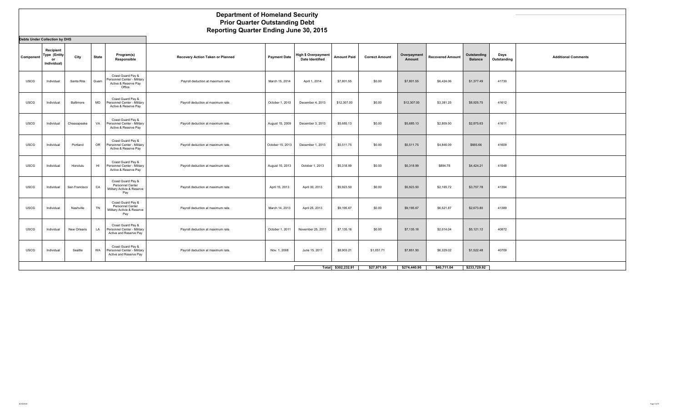## **Department of Homeland Security Prior Quarter Outstanding Debt Reporting Quarter Ending June 30, 2015**

|             | <b>Debts Under Collection by DHS</b>                   |               |              |                                                                                    |                                    |                     |                                                      |                    |                       |                       |                         |                               |                     |                            |
|-------------|--------------------------------------------------------|---------------|--------------|------------------------------------------------------------------------------------|------------------------------------|---------------------|------------------------------------------------------|--------------------|-----------------------|-----------------------|-------------------------|-------------------------------|---------------------|----------------------------|
| Component   | Recipient<br><b>Type (Entity)</b><br>or<br>Individual) | City          | <b>State</b> | Program(s)<br>Responsible                                                          | Recovery Action Taken or Planned   | <b>Payment Date</b> | <b>High \$ Overpayment</b><br><b>Date Identified</b> | <b>Amount Paid</b> | <b>Correct Amount</b> | Overpayment<br>Amount | <b>Recovered Amount</b> | Outstanding<br><b>Balance</b> | Days<br>Outstanding | <b>Additional Comments</b> |
| <b>USCG</b> | Individual                                             | Santa Rita    | Guam         | Coast Guard Pay &<br>Personnel Center - Military<br>Active & Reserve Pay<br>Office | Payroll deduction at maximum rate  | March 15, 2014      | April 1, 2014                                        | \$7,801.55         | \$0.00                | \$7,801.55            | \$6,424.06              | \$1,377.49                    | 41730               |                            |
| <b>USCG</b> | Individual                                             | Baltimore     | MD           | Coast Guard Pay &<br>Personnel Center - Military<br>Active & Reserve Pay           | Payroll deduction at maximum rate. | October 1, 2013     | December 4, 2013                                     | \$12,307.00        | \$0.00                | \$12,307.00           | \$3,381.25              | \$8,925.75                    | 41612               |                            |
| <b>USCG</b> | Individual                                             | Cheasapeake   | VA           | Coast Guard Pay &<br>Personnel Center - Military<br>Active & Reserve Pay           | Payroll deduction at maximum rate. | August 15, 2009     | December 3, 2013                                     | \$5,685.13         | \$0.00                | \$5,685.13            | \$2,809.50              | \$2,875.63                    | 41611               |                            |
| <b>USCG</b> | Individual                                             | Portland      | OR           | Coast Guard Pay &<br>Personnel Center - Military<br>Active & Reserve Pay           | Payroll deduction at maximum rate. | October 15, 2013    | December 1, 2013                                     | \$5,511.75         | \$0.00                | \$5,511.75            | \$4,846.09              | \$665.66                      | 41609               |                            |
| <b>USCG</b> | Individual                                             | Honolulu      | HI           | Coast Guard Pay &<br>Personnel Center - Military<br>Active & Reserve Pay           | Payroll deduction at maximum rate. | August 15, 2013     | October 1, 2013                                      | \$5,318.99         | \$0.00                | \$5,318.99            | \$894.78                | \$4,424.21                    | 41548               |                            |
| <b>USCG</b> | Individual                                             | San Francisco | CA           | Coast Guard Pay &<br>Personnel Center<br>Military Activie & Reserve<br>Pay         | Payroll deduction at maximum rate. | April 15, 2013      | April 30, 2013                                       | \$5,923.50         | \$0.00                | \$5,923.50            | \$2,165.72              | \$3,757.78                    | 41394               |                            |
| <b>USCG</b> | Individual                                             | Nashville     | TN           | Coast Guard Pay &<br>Personnel Center<br>Military Activie & Reserve<br>Pay         | Payroll deduction at maximum rate. | March 14, 2013      | April 25, 2013                                       | \$9,195.67         | \$0.00                | \$9,195.67            | \$6,521.87              | \$2,673.80                    | 41389               |                            |
| <b>USCG</b> | Individual                                             | New Orleans   | LA           | Coast Guard Pay &<br>Personnel Center - Military<br>Active and Reserve Pay         | Payroll deduction at maximum rate. | October 1, 2011     | November 25, 2011                                    | \$7,135.16         | \$0.00                | \$7,135.16            | \$2,014.04              | \$5,121.12                    | 40872               |                            |
| <b>USCG</b> | Individual                                             | Seattle       | WA           | Coast Guard Pay &<br>Personnel Center - Military<br>Active and Reserve Pay         | Payroll deduction at maximum rate. | Nov. 1, 2008        | June 15, 2011                                        | \$8,903.21         | \$1,051.71            | \$7,851.50            | \$6,329.02              | \$1,522.48                    | 40709               |                            |
|             |                                                        |               |              |                                                                                    |                                    |                     |                                                      | Total \$302,232.91 | \$27,971.95           | \$274,440.96          | \$40,711.04             | \$233,729.92                  |                     |                            |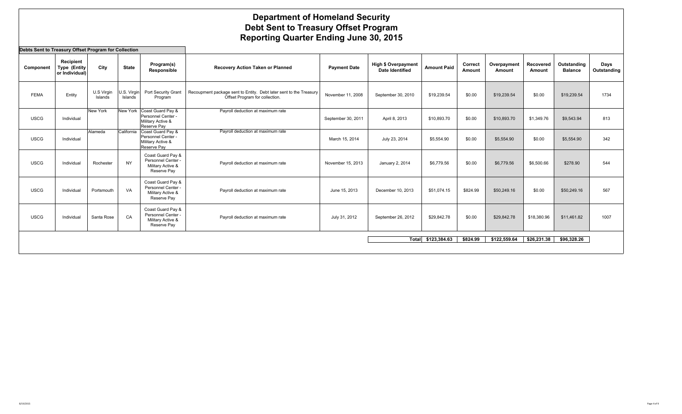## **Department of Homeland Security Debt Sent to Treasury Offset Program Reporting Quarter Ending June 30, 2015**

| Debts Sent to Treasury Offset Program for Collection |                                                    |                       |                        |                                                                                      |                                                                                                      |                     |                                                      |                    |                   |                       |                     |                               |                     |
|------------------------------------------------------|----------------------------------------------------|-----------------------|------------------------|--------------------------------------------------------------------------------------|------------------------------------------------------------------------------------------------------|---------------------|------------------------------------------------------|--------------------|-------------------|-----------------------|---------------------|-------------------------------|---------------------|
| Component                                            | Recipient<br><b>Type (Entity</b><br>or Individual) | City                  | <b>State</b>           | Program(s)<br>Responsible                                                            | <b>Recovery Action Taken or Planned</b>                                                              | <b>Payment Date</b> | <b>High \$ Overpayment</b><br><b>Date Identified</b> | <b>Amount Paid</b> | Correct<br>Amount | Overpayment<br>Amount | Recovered<br>Amount | Outstanding<br><b>Balance</b> | Days<br>Outstanding |
| <b>FEMA</b>                                          | Entity                                             | U.S Virgin<br>Islands | U.S. Virgin<br>Islands | Port Security Grant<br>Program                                                       | Recoupment package sent to Entity. Debt later sent to the Treasury<br>Offset Program for collection. | November 11, 2008   | September 30, 2010                                   | \$19,239.54        | \$0.00            | \$19,239.54           | \$0.00              | \$19,239.54                   | 1734                |
| <b>USCG</b>                                          | Individual                                         | <b>New York</b>       |                        | New York Coast Guard Pay &<br>Personnel Center -<br>Military Active &<br>Reserve Pay | Payroll deduction at maximum rate                                                                    | September 30, 2011  | April 8, 2013                                        | \$10,893.70        | \$0.00            | \$10,893.70           | \$1,349.76          | \$9,543.94                    | 813                 |
| <b>USCG</b>                                          | Individual                                         | Alameda               | California             | Coast Guard Pay &<br>Personnel Center -<br>Military Active &<br>Reserve Pay          | Payroll deduction at maximum rate                                                                    | March 15, 2014      | July 23, 2014                                        | \$5,554.90         | \$0.00            | \$5,554.90            | \$0.00              | \$5,554.90                    | 342                 |
| <b>USCG</b>                                          | Individual                                         | Rochester             | <b>NY</b>              | Coast Guard Pay &<br>Personnel Center -<br>Military Active &<br>Reserve Pay          | Pavroll deduction at maximum rate                                                                    | November 15, 2013   | January 2, 2014                                      | \$6,779.56         | \$0.00            | \$6,779.56            | \$6,500.66          | \$278.90                      | 544                 |
| <b>USCG</b>                                          | Individual                                         | Portsmouth            | VA                     | Coast Guard Pay &<br>Personnel Center -<br>Military Active &<br>Reserve Pay          | Payroll deduction at maximum rate                                                                    | June 15, 2013       | December 10, 2013                                    | \$51,074.15        | \$824.99          | \$50,249.16           | \$0.00              | \$50,249.16                   | 567                 |
| <b>USCG</b>                                          | Individual                                         | Santa Rose            | CA                     | Coast Guard Pay &<br>Personnel Center -<br>Military Active &<br>Reserve Pay          | Payroll deduction at maximum rate                                                                    | July 31, 2012       | September 26, 2012                                   | \$29,842.78        | \$0.00            | \$29,842.78           | \$18,380.96         | \$11,461.82                   | 1007                |
|                                                      |                                                    |                       |                        |                                                                                      |                                                                                                      |                     |                                                      | Total \$123,384.63 | \$824.99          | \$122.559.64          | \$26,231.38         | \$96,328.26                   |                     |
|                                                      |                                                    |                       |                        |                                                                                      |                                                                                                      |                     |                                                      |                    |                   |                       |                     |                               |                     |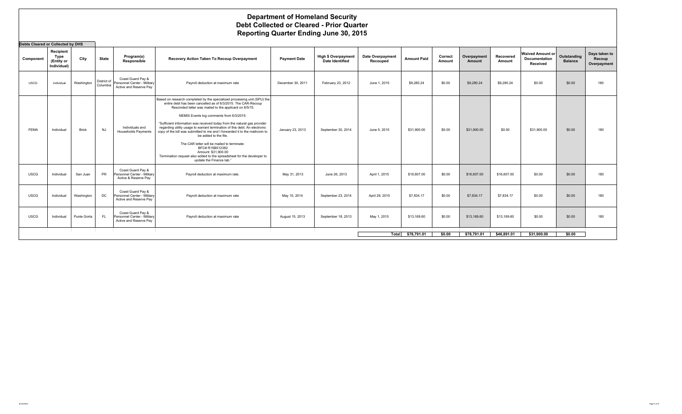## **Department of Homeland Security Debt Collected or Cleared - Prior Quarter Reporting Quarter Ending June 30, 2015**

| Debts Cleared or Collected by DHS |                                                |              |                         |                                                                            |                                                                                                                                                                                                                                                                                                                                                                                                                                                                                                                                                                                                                                                                                                                  |                     |                                                      |                              |                    |                   |                       |                     |                                                             |                               |                                        |
|-----------------------------------|------------------------------------------------|--------------|-------------------------|----------------------------------------------------------------------------|------------------------------------------------------------------------------------------------------------------------------------------------------------------------------------------------------------------------------------------------------------------------------------------------------------------------------------------------------------------------------------------------------------------------------------------------------------------------------------------------------------------------------------------------------------------------------------------------------------------------------------------------------------------------------------------------------------------|---------------------|------------------------------------------------------|------------------------------|--------------------|-------------------|-----------------------|---------------------|-------------------------------------------------------------|-------------------------------|----------------------------------------|
| Component                         | Recipient<br>Type<br>(Entity or<br>Individual) | City         | <b>State</b>            | Program(s)<br>Responsible                                                  | Recovery Action Taken To Recoup Overpayment                                                                                                                                                                                                                                                                                                                                                                                                                                                                                                                                                                                                                                                                      | <b>Payment Date</b> | <b>High \$ Overpayment</b><br><b>Date Identified</b> | Date Overpayment<br>Recouped | <b>Amount Paid</b> | Correct<br>Amount | Overpayment<br>Amount | Recovered<br>Amount | <b>Waived Amount or</b><br><b>Documentation</b><br>Received | Outstanding<br><b>Balance</b> | Days taken to<br>Recoup<br>Overpayment |
| <b>USCG</b>                       | Individual                                     | Washington   | District of<br>Columbia | Coast Guard Pay &<br>Personnel Center - Military<br>Active and Reserve Pay | Payroll deduction at maximum rate                                                                                                                                                                                                                                                                                                                                                                                                                                                                                                                                                                                                                                                                                | December 30, 2011   | February 23, 2012                                    | June 1, 2015                 | \$9,280.24         | \$0.00            | \$9,280,24            | \$9,280.24          | \$0.00                                                      | \$0.00                        | 180                                    |
| <b>FEMA</b>                       | Individual                                     | <b>Brick</b> | <b>NJ</b>               | Individuals and<br><b>Households Payments</b>                              | Based on research completed by the specialized processing unit (SPU) the<br>entire debt has been cancelled as of 6/3/2015. The CAR-Recoup<br>Rescinded letter was mailed to the applicant on 6/5/15.<br>NEMIS Events log comments from 6/3/2015:<br>"Sufficient information was received today from the natural gas provider<br>regarding utility usage to warrant termination of this debt. An electronic<br>copy of the bill was submitted to me and I forwarded it to the mailroom to<br>be added to the file.<br>The CAR letter will be mailed to terminate:<br>BFC# R15B512382<br>Amount: \$31,900.00<br>Termination request also added to the spreadsheet for the developer to<br>update the Finance tab." | January 23, 2013    | September 30, 2014                                   | June 5, 2015                 | \$31,900.00        | \$0.00            | \$31,900.00           | \$0.00              | \$31,900.00                                                 | \$0.00                        | 180                                    |
| <b>USCG</b>                       | Individual                                     | San Juan     | <b>PR</b>               | Coast Guard Pay &<br>Personnel Center - Military<br>Active & Reserve Pay   | Payroll deduction at maximum rate.                                                                                                                                                                                                                                                                                                                                                                                                                                                                                                                                                                                                                                                                               | May 31, 2013        | June 26, 2013                                        | April 1, 2015                | \$16,607.00        | \$0.00            | \$16,607.00           | \$16,607.00         | \$0.00                                                      | \$0.00                        | 180                                    |
| <b>USCG</b>                       | Individual                                     | Washington   | DC                      | Coast Guard Pay &<br>Personnel Center - Military<br>Active and Reserve Pay | Payroll deduction at maximum rate                                                                                                                                                                                                                                                                                                                                                                                                                                                                                                                                                                                                                                                                                | May 15, 2014        | September 23, 2014                                   | April 29, 2015               | \$7,834.17         | \$0.00            | \$7,834.17            | \$7,834.17          | \$0.00                                                      | \$0.00                        | 180                                    |
| <b>USCG</b>                       | Individual                                     | Punte Gorta  | FL.                     | Coast Guard Pay &<br>Personnel Center - Military<br>Active and Reserve Pay | Payroll deduction at maximum rate                                                                                                                                                                                                                                                                                                                                                                                                                                                                                                                                                                                                                                                                                | August 15, 2013     | September 18, 2013                                   | May 1, 2015                  | \$13,169.60        | \$0.00            | \$13,169.60           | \$13,169.60         | \$0.00                                                      | \$0.00                        | 180                                    |
|                                   |                                                |              |                         |                                                                            |                                                                                                                                                                                                                                                                                                                                                                                                                                                                                                                                                                                                                                                                                                                  |                     |                                                      | Total                        | \$78,791.01        | \$0.00            | \$78.791.01           | \$46,891.01         | \$31,900.00                                                 | \$0.00                        |                                        |

8/19/2015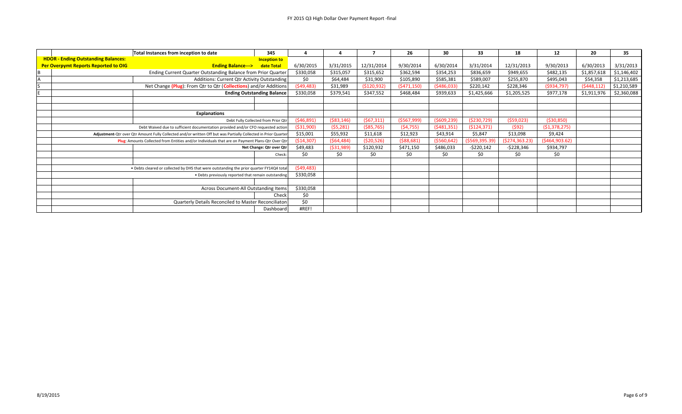|   |                                            | Total Instances from inception to date                                                                         | 345                 |             |              |               | 26            | 30            | 33             | 18             | 12             | 20          | 35          |
|---|--------------------------------------------|----------------------------------------------------------------------------------------------------------------|---------------------|-------------|--------------|---------------|---------------|---------------|----------------|----------------|----------------|-------------|-------------|
|   | <b>HDOR - Ending Outstanding Balances:</b> |                                                                                                                | <b>Inception to</b> |             |              |               |               |               |                |                |                |             |             |
|   | Per Overpymt Reports Reported to OIG       | <b>Ending Balance---&gt;</b>                                                                                   | date Total          | 6/30/2015   | 3/31/2015    | 12/31/2014    | 9/30/2014     | 6/30/2014     | 3/31/2014      | 12/31/2013     | 9/30/2013      | 6/30/2013   | 3/31/2013   |
| B |                                            | Ending Current Quarter Outstanding Balance from Prior Quarter                                                  |                     | \$330,058   | \$315,057    | \$315,652     | \$362,594     | \$354,253     | \$836,659      | \$949,655      | \$482,135      | \$1,857,618 | \$1,146,402 |
|   |                                            | Additions: Current Qtr Activity Outstanding                                                                    |                     | \$0         | \$64,484     | \$31,900      | \$105,890     | \$585,381     | \$589,007      | \$255,870      | \$495,043      | \$54,358    | \$1,213,685 |
|   |                                            | Net Change (Plug): From Qtr to Qtr (Collections) and/or Additions                                              |                     | (549, 483)  | \$31,989     | (5120, 932)   | (5471, 150)   | (5486, 033)   | \$220,142      | \$228,346      | (5934, 797)    | (5448, 112) | \$1,210,589 |
|   |                                            | <b>Ending Outstanding Balance</b>                                                                              |                     | \$330,058   | \$379,541    | \$347,552     | \$468,484     | \$939,633     | \$1,425,666    | \$1,205,525    | \$977,178      | \$1,911,976 | \$2,360,088 |
|   |                                            |                                                                                                                |                     |             |              |               |               |               |                |                |                |             |             |
|   |                                            |                                                                                                                |                     |             |              |               |               |               |                |                |                |             |             |
|   |                                            | <b>Explanations</b>                                                                                            |                     |             |              |               |               |               |                |                |                |             |             |
|   |                                            | Debt Fully Collected from Prior Qtr                                                                            |                     | (546,891)   | ( \$83, 146) | (567, 311)    | ( \$567, 999) | (5609, 239)   | ( \$230, 729)  | (559, 023)     | ( \$30, 850)   |             |             |
|   |                                            | Debt Waived due to sufficient documentation provided and/or CFO requested action                               |                     | ( \$31,900) | (55, 281)    | $($ \$85,765) | (54, 755)     | (5481, 351)   | (5124, 371)    | (592)          | (51, 378, 275) |             |             |
|   |                                            | Adjustment-Qtr over Qtr Amount Fully Collected and/or written Off but was Partially Collected in Prior Quarter |                     | \$15,001    | \$55,932     | \$11,618      | \$12,923      | \$43,914      | \$5,847        | \$13,098       | \$9,424        |             |             |
|   |                                            | Plug: Amounts Collected from Entities and/or Individuals that are on Payment Plans-Qtr Over Qtr                |                     | (514, 307)  | (564, 484)   | (520, 526)    | (588, 681)    | ( \$560, 642) | (\$569,395.39) | (5274, 363.23) | (5464,903.62)  |             |             |
|   |                                            | Net Change: Qtr over Qtr                                                                                       |                     | \$49,483    | ( \$31,989)  | \$120,932     | \$471,150     | \$486,033     | $-$ \$220,142  | $-$ \$228,346  | \$934,797      |             |             |
|   |                                            |                                                                                                                | Check:              | \$0         | \$0          | \$0           | \$0           | \$0           | \$0            | \$0            | \$0            |             |             |
|   |                                            |                                                                                                                |                     |             |              |               |               |               |                |                |                |             |             |
|   |                                            | . Debts cleared or collected by DHS that were outstanding the prior quarter FY14Q4 total                       |                     | (549, 483)  |              |               |               |               |                |                |                |             |             |
|   |                                            | . Debts previously reported that remain outstanding                                                            |                     | \$330,058   |              |               |               |               |                |                |                |             |             |
|   |                                            |                                                                                                                |                     |             |              |               |               |               |                |                |                |             |             |
|   |                                            | Across Document-All Outstanding Items                                                                          |                     | \$330,058   |              |               |               |               |                |                |                |             |             |
|   |                                            |                                                                                                                | Check               | \$0         |              |               |               |               |                |                |                |             |             |
|   |                                            | Quarterly Details Reconciled to Master Reconciliaton                                                           |                     | \$0         |              |               |               |               |                |                |                |             |             |
|   |                                            |                                                                                                                | Dashboard           | #REF!       |              |               |               |               |                |                |                |             |             |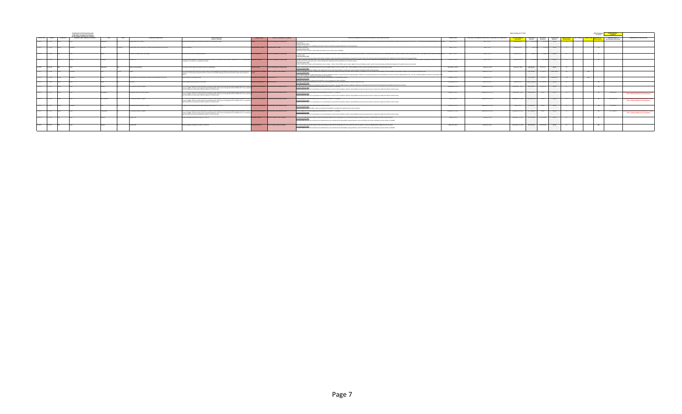|                   |                               | <b>Jeoartment of Homeland Security</b><br><b>High-Dollar Oversayments Report</b> |             |                                                                      |                                                                                                                                                                                                                                                                                                                                       |                     |                                                       |                                                                                                                                                                                                                                                                                                                                                                                                                                                                                                                                                                                                        |                   |                                                   | Start Tracking in FY 15 Q3                                 |                                                                      |           |                                 |                     |     | Start Tracking in<br>EVISON |                                                                                                                                                                                                                                                                                                                                                                                                                                                                                 |                                                                                       |
|-------------------|-------------------------------|----------------------------------------------------------------------------------|-------------|----------------------------------------------------------------------|---------------------------------------------------------------------------------------------------------------------------------------------------------------------------------------------------------------------------------------------------------------------------------------------------------------------------------------|---------------------|-------------------------------------------------------|--------------------------------------------------------------------------------------------------------------------------------------------------------------------------------------------------------------------------------------------------------------------------------------------------------------------------------------------------------------------------------------------------------------------------------------------------------------------------------------------------------------------------------------------------------------------------------------------------------|-------------------|---------------------------------------------------|------------------------------------------------------------|----------------------------------------------------------------------|-----------|---------------------------------|---------------------|-----|-----------------------------|---------------------------------------------------------------------------------------------------------------------------------------------------------------------------------------------------------------------------------------------------------------------------------------------------------------------------------------------------------------------------------------------------------------------------------------------------------------------------------|---------------------------------------------------------------------------------------|
|                   | Fiscal Year Cuarter Component | r the Quarter Englise, June 33 3915.<br>Recipient Type (Efftity or individual)   |             | hooramis) Responsib                                                  | <b>Taken or Planned</b>                                                                                                                                                                                                                                                                                                               |                     | <b><i><u>CALLA OF CHAPPAULONADE CARACTERS</u></i></b> | Why the Overcovment Occurred And Actions to Prevent Reoccurren                                                                                                                                                                                                                                                                                                                                                                                                                                                                                                                                         |                   | ta Winh & Propressionant Idantifiad for Bennetian | Recouped                                                   | Amount                                                               | Resolved  | Balance                         | <b>Contact Ave.</b> |     |                             | Walved Amount or<br><b>Receive Pymt Documentation Received</b>                                                                                                                                                                                                                                                                                                                                                                                                                  | Explanations on Special Items                                                         |
|                   |                               |                                                                                  |             | ast Guard HO - COMD 1                                                | letund check received from the vendor on 04/22/15 /Unidentified Check?                                                                                                                                                                                                                                                                |                     | act Management Weaknesses                             | CEN received invice approximation the Contraction Officer for \$160.147.00. The vendor ister discovered an overbiling discreasescy during a reconcilation/audit and immediately submitted a relind check for \$160. The vendor h<br>Corrective Action Plan:<br>INCEN is working with our contracting community to ensure controls are being followed prior to invoice approval.                                                                                                                                                                                                                        |                   | May 54, 2015                                      | Avenue Shad                                                |                                                                      | 10012-007 | $-90$                           |                     |     |                             |                                                                                                                                                                                                                                                                                                                                                                                                                                                                                 |                                                                                       |
| $1500 -$          |                               |                                                                                  |             | Coast Guard Pay & Personnel - Military Active and Reserve Pay Office | turcii Deduction                                                                                                                                                                                                                                                                                                                      |                     |                                                       | <b>Instantive Artico Blaz-</b><br>structions on how to report a retiree death are printed in the monthly retiree newsletter.                                                                                                                                                                                                                                                                                                                                                                                                                                                                           | June 1, 2015      | June 5, 2015                                      |                                                            | Auto 20, 2015 5 51, 897, 695 5 51, 897, 696 50, 00                   |           |                                 |                     |     |                             |                                                                                                                                                                                                                                                                                                                                                                                                                                                                                 |                                                                                       |
| $-250$            |                               |                                                                                  |             | fice of Information and Technology                                   | ndor has refunded the duolicate payment                                                                                                                                                                                                                                                                                               |                     | Gordon Contract Management Weaknesses                 | a vendor submitted two invoices with different invoice dates and different invoice numbers for the same period of performance. The vendor was trying to connect a classification error, but did not make it clear to the progr<br>and involve<br>Jamective Action Plan:<br>prevent a reoccurrence the program office will be reminded to look at the period of performance and using this on their notes on the receiving reports would holically catch duplicated receiving reports from being generated                                                                                              |                   | June 12, 2015                                     |                                                            | June 23, 2015   \$ 138,662.31 \$ 139,662.31 \$0.00                   |           |                                 |                     |     |                             |                                                                                                                                                                                                                                                                                                                                                                                                                                                                                 |                                                                                       |
| Pr2015 Pr15Q3 150 |                               |                                                                                  |             |                                                                      | mpleted on 6/19/2015 to re-establish the UDO.                                                                                                                                                                                                                                                                                         |                     |                                                       | rendor submitted duplicate invoices with different invoice numbers (5840002252494 and 5840002407247) because the original invoice (5840002252494) vas miecholcanceled by the COR. Due to the difference in invoice numbers, th<br>plicate and both invoices were paid. Vendor identified the duplicate invoice submitted in error and sent refund.<br>Jamective Action Plan:<br>Current controls are in place to catch duolicate invoice numbers. ACOx COx & CORx need to remain violant of account balances and/or vendor invoices previously submitted and applived for goods and services provided. | March 27, 2015    | June 15, 2015                                     |                                                            | June 19, 2015   S. 457, 344.91 \$ 457, 244.91 \$0.00                 |           |                                 |                     |     | ---                         |                                                                                                                                                                                                                                                                                                                                                                                                                                                                                 |                                                                                       |
| 5115 Q2           |                               |                                                                                  | ingham      | a of Administratio                                                   | recovery action taken the yendor sent in the overcoviny                                                                                                                                                                                                                                                                               | 1 Vendor            | Contract Management Weaknesses                        | tober and November auto pay lease payments were obligated using an incorrect vendor code. These obligations create a system generated payment at the end of each month<br>Jorrechre Action Plan:<br>oram Office that eat up the                                                                                                                                                                                                                                                                                                                                                                        | December 2, 2014  | January 2, 2015                                   |                                                            | January 2, 2015   205, 767.62   515, 767.62   20.00                  |           |                                 |                     |     |                             |                                                                                                                                                                                                                                                                                                                                                                                                                                                                                 |                                                                                       |
|                   |                               |                                                                                  |             |                                                                      | te United States Secret Service's (USSS) Payroll Office requested that the National Finance Center (NFC) set up the bill for Late Notification - Change its Lack of Program Office Oversight<br>equipment. The bill was received from NFC on 3/10/15. The USSS employee will receive this bill this week with re-cayment              |                     |                                                       | ograp (Mac hui te so haddon war colleg soo wars of groopsy stepped, wedge and you are completed and redict minimization and contract counterparty and contract proportion and contract counterparty in the second proportion o<br>arrective Action Plan:<br>new procedure has been inplemented within the Payoli Operations Division to prevent this from happening again. Reports are now persented based on the transaction code (TC) versus the conanizational code. The TC is checked<br>rosters. NFC's database, and the amounts gaid to each individual.                                         | October 18, 2014  | January 30, 2015                                  |                                                            |                                                                      |           | 527.229.44 51.500.00 525.729.44 |                     |     |                             |                                                                                                                                                                                                                                                                                                                                                                                                                                                                                 |                                                                                       |
| 11502             |                               |                                                                                  |             | Coast Guard Pay & Personnel - Military Active & Reserve Pay Office   | roll deduction at maximum rate                                                                                                                                                                                                                                                                                                        |                     | <b>Gamant Croy</b>                                    | rgayment due to late notification from the Veterans Administration for Compensation Offset<br>rective Action Plan:<br>ification was sent to the Veterans Administration on the consequences of late notification.<br>In invoice "total current period activity" of d.D. 174.276.941 was paid vice the "total account activity" amount of difiels.427.98                                                                                                                                                                                                                                                | January 1, 2015   | March 9, 2015                                     |                                                            | \$37,254.30 \$31939 \$36,434.31                                      |           |                                 | $\frac{1}{12}$      | Tes |                             |                                                                                                                                                                                                                                                                                                                                                                                                                                                                                 |                                                                                       |
| $-50$             |                               |                                                                                  |             |                                                                      | fund request letter was sent to the vendo                                                                                                                                                                                                                                                                                             |                     |                                                       | Corrective Action Plan:                                                                                                                                                                                                                                                                                                                                                                                                                                                                                                                                                                                | February 23, 2015 | March 24, 2215                                    |                                                            | April 20.2015 \$2.533.848.96 \$2.533.848.96                          |           | $-60.00$                        |                     |     |                             |                                                                                                                                                                                                                                                                                                                                                                                                                                                                                 |                                                                                       |
|                   |                               |                                                                                  |             | 5 Security Grants Program                                            | .<br>On 11-1-2214, Program office has been given 20 days to contact grantee to either provide supporting documentation or refund. If<br>moneys to FEMA . After the 30 day period a potential debt letter will be sent to the grantee<br>tet time FEMA will contact debt collection Agency for further pursuit                         |                     | Cocumentation Cocumentation submission problem        | The verdor has been notified of overpayment and the reland is pending. The desk gade has been gadesid to clarify the correct payment amount and ACO training will be provided to prevent recocurrence<br>Kannels needed from:<br>Con<br>parent office will reach out to all orantees on an annual basis to mmind of documentation retention responsibilies as well as proper protocol to respond to audits and internal control review                                                                                                                                                                 | September 4, 2013 | September 30, 2014                                |                                                            | December 7, 2014    6361-000-31    6361-000-31    6360    647-000-31 |           |                                 |                     |     |                             |                                                                                                                                                                                                                                                                                                                                                                                                                                                                                 |                                                                                       |
|                   |                               |                                                                                  |             | Homeland Security Grants Program                                     | 11-1-2014. Program office has been given 30 days to contact grantee to either provide supporting documentation or refund<br>coevs to FEMA. After the 30 day period a potential debt letter will be sent to the grantee from the FEMA CFO. If no resolution<br>that time FEMA will contact debt collection Agency for further pursuit. |                     | lent Donumentation - Donumentation submission nethiam | inantee neglected to provide supporting documentation for IPS/RN-FY 14 testing.<br>amedive Action Plan:<br>Impam office will reach out to all grantees on an annual basis to remind of documentation relention responsibilies as well as proper protocol to respond to audits and internal control reviews.                                                                                                                                                                                                                                                                                            | Agus 14, 2013     | September 30, 2014                                | December 2.2014 \$100,000.00 \$1.00 \$1.00 \$2.00 \$1.     |                                                                      |           |                                 |                     |     |                             | $\overline{\phantom{a}}$ $\overline{\phantom{a}}$ $\overline{\phantom{a}}$ $\overline{\phantom{a}}$ $\overline{\phantom{a}}$ $\overline{\phantom{a}}$ $\overline{\phantom{a}}$ $\overline{\phantom{a}}$ $\overline{\phantom{a}}$ $\overline{\phantom{a}}$ $\overline{\phantom{a}}$ $\overline{\phantom{a}}$ $\overline{\phantom{a}}$ $\overline{\phantom{a}}$ $\overline{\phantom{a}}$ $\overline{\phantom{a}}$ $\overline{\phantom{a}}$ $\overline{\phantom{a}}$ $\overline{\$ | 2014, Availing additional documentation.                                              |
| rs or             |                               |                                                                                  | n Francisco | of Security Grants Program                                           | 11-1-2014. Program office has been given 30 days to contact crantee to either provide supporting documentation prinsture<br>soneys to FEMA. After the 30-day period a octential debt letter will be sent to the crantee from the FEMA CFO. If no resolution<br>tet time FEMA will contact debt collection Agency for further pursuit. |                     | nt Documentation   Documentation submission problem   | rantee neglected to provide supporting documentation for IPS/RN-FY 14 testing.<br>perective Action Plan:<br>Pogram office will reach out to all grantees on an annual basis to remind of documentation relention responsibles as well as proper protocol to respond to audits and internal control reviews.                                                                                                                                                                                                                                                                                            | 38/15.2012        | September 30, 2014                                |                                                            |                                                                      |           |                                 |                     |     |                             | \$5,079,601.22                                                                                                                                                                                                                                                                                                                                                                                                                                                                  | 2014, awaiting additional documentation                                               |
| is Ot             |                               |                                                                                  |             | <b>Sylduals and Households Progr.</b>                                | rogram office conducting internal debt collection activities as of 11-1-2014                                                                                                                                                                                                                                                          |                     | jent Documentation Cocumentation submission problem   | cant provided insufficent documentation to prove inc<br>prective Action Plan:<br>Update training manual and staff to make sure proper documentation is provided from applicants at the time of reque                                                                                                                                                                                                                                                                                                                                                                                                   | January 23, 2013  | September 30, 2014                                |                                                            | June 5, 2015 \$21,900.00 \$0.00 \$0.00                               |           |                                 |                     |     |                             | \$31,900.00                                                                                                                                                                                                                                                                                                                                                                                                                                                                     |                                                                                       |
| 15Q1              |                               |                                                                                  |             | of Security Grants Program                                           | n 11-1-2014. Program office has been given 30 days to contact grantee to either provide supporting documentation or refund<br>oneys to FEMA. After the 30 day period a octential debt letter will be sent to the crantee from the<br>at time FEMA will contact debtcolection Agency for further oursuit                               |                     | ent Documentation  Documentation submission problem   | whee neglected to provide supporting documentation for IPERIA FY 14 testing.<br>rective Action Pia<br>parent office will reach out to all orantees on an annual basis to remind of documentation retention responsibilies as well as proper protocol to respond to audits and internal control reviews                                                                                                                                                                                                                                                                                                 | December 19, 2012 | September 30, 2014                                |                                                            | November 25, 2014   1911 896 54                                      | 3000      | \$0.00                          |                     |     | $\sim$                      | \$111,000.54                                                                                                                                                                                                                                                                                                                                                                                                                                                                    | tee provided source documentation in Octo<br>2014, awaiting additional documentation. |
| 15 Q1             |                               |                                                                                  |             |                                                                      | ind cackage submitted to vendor on 10/20/14                                                                                                                                                                                                                                                                                           | ate Payment         | Lack of Program Office Oversight                      | monthly lease was paid through the Recurring Charge master (RCM). During May 2014, the vendor also sent an electronic invoice to FINCEN (with a different invoice numbe<br>prective Action Plan:<br>The Real Estate Division has confirmed and verified that they have transitioned the Real Estate Leasing Division's rents from RCM to the vendor submitting invoices directly to FINCEN                                                                                                                                                                                                             | May 22, 2014      | Color 8, 2014                                     |                                                            |                                                                      |           |                                 |                     |     |                             |                                                                                                                                                                                                                                                                                                                                                                                                                                                                                 |                                                                                       |
| FY15 OT           |                               |                                                                                  |             |                                                                      | isfund cackage submitted to vendor on 10/30/1                                                                                                                                                                                                                                                                                         | <b>Cale Deumant</b> | Lack of Program Office Oversight                      | his monthly lease was paid through the Recurring Charge mayber (RCM). During May 2014, the vendor also sent an electronic invoice to FINCEN nuth a different invoice<br>rective Action Plan<br>or Real Estate Division has confirmed and verified that they have transitioned the Real Estate Leasing Division's rents from RCM to the vendor submitting invoices directly to FINCEN.                                                                                                                                                                                                                  | March 24, 2014    | October 9, 2014                                   | November 19, 2014  9115,918-40  9115,918-40  9000  9000  9 |                                                                      |           |                                 |                     |     | $\sim$                      |                                                                                                                                                                                                                                                                                                                                                                                                                                                                                 |                                                                                       |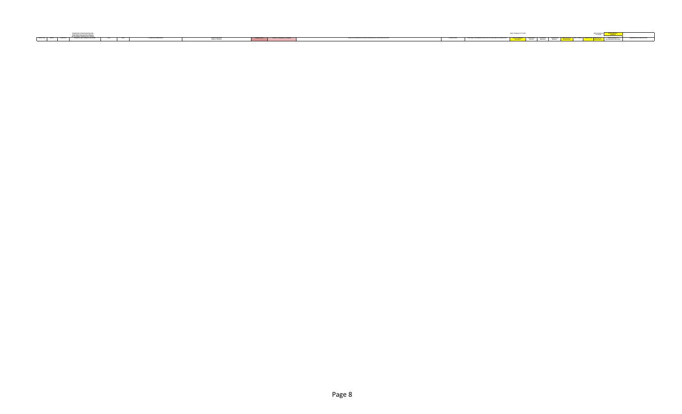| <b>Department of Homeland Security</b><br>Start Tracking in FY 15 Q3 |                                      |
|----------------------------------------------------------------------|--------------------------------------|
| <b>High-Dollar Oversayments Reg</b>                                  |                                      |
|                                                                      |                                      |
|                                                                      | needly With Treasury<br>------------ |
| Payment Date                                                         |                                      |